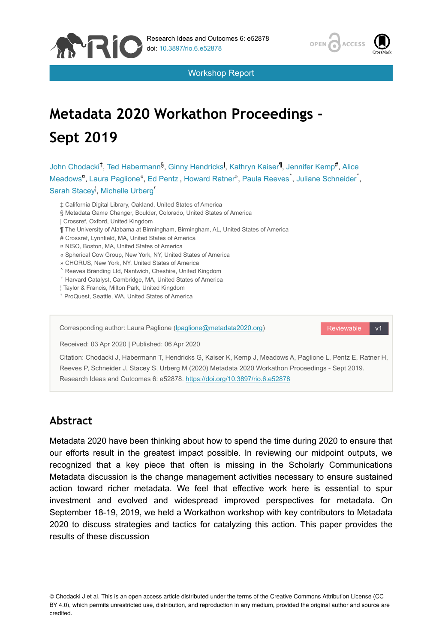



Workshop Report

# **Metadata 2020 Workathon Proceedings - Sept 2019**

John Chodacki<sup>‡</sup>, Ted Habermann<sup>§</sup>, Ginny Hendricks<sup>I</sup>, Kathryn Kaiser<sup>¶</sup>, Jennifer Kemp<sup>#</sup>, Alice Meadows<sup>"</sup>, Laura Paglione", Ed Pentz<sup>I</sup>, Howard Ratner", Paula Reeves<sup>^</sup>, Juliane Schneider<sup>\*</sup>, Sarah Stacey, Michelle Urberg

- ‡ California Digital Library, Oakland, United States of America
- § Metadata Game Changer, Boulder, Colorado, United States of America
- | Crossref, Oxford, United Kingdom
- ¶ The University of Alabama at Birmingham, Birmingham, AL, United States of America
- # Crossref, Lynnfield, MA, United States of America
- ¤ NISO, Boston, MA, United States of America
- « Spherical Cow Group, New York, NY, United States of America
- » CHORUS, New York, NY, United States of America
- ˄ Reeves Branding Ltd, Nantwich, Cheshire, United Kingdom
- ˅ Harvard Catalyst, Cambridge, MA, United States of America
- ¦ Taylor & Francis, Milton Park, United Kingdom
- ˀ ProQuest, Seattle, WA, United States of America

Reviewable v1 Corresponding author: Laura Paglione ([lpaglione@metadata2020.org\)](mailto:lpaglione@metadata2020.org) Received: 03 Apr 2020 | Published: 06 Apr 2020 Citation: Chodacki J, Habermann T, Hendricks G, Kaiser K, Kemp J, Meadows A, Paglione L, Pentz E, Ratner H, Reeves P, Schneider J, Stacey S, Urberg M (2020) Metadata 2020 Workathon Proceedings - Sept 2019.

Research Ideas and Outcomes 6: e52878.<https://doi.org/10.3897/rio.6.e52878>

### **Abstract**

Metadata 2020 have been thinking about how to spend the time during 2020 to ensure that our efforts result in the greatest impact possible. In reviewing our midpoint outputs, we recognized that a key piece that often is missing in the Scholarly Communications Metadata discussion is the change management activities necessary to ensure sustained action toward richer metadata. We feel that effective work here is essential to spur investment and evolved and widespread improved perspectives for metadata. On September 18-19, 2019, we held a Workathon workshop with key contributors to Metadata 2020 to discuss strategies and tactics for catalyzing this action. This paper provides the results of these discussion

© Chodacki J et al. This is an open access article distributed under the terms of the Creative Commons Attribution License (CC BY 4.0), which permits unrestricted use, distribution, and reproduction in any medium, provided the original author and source are credited.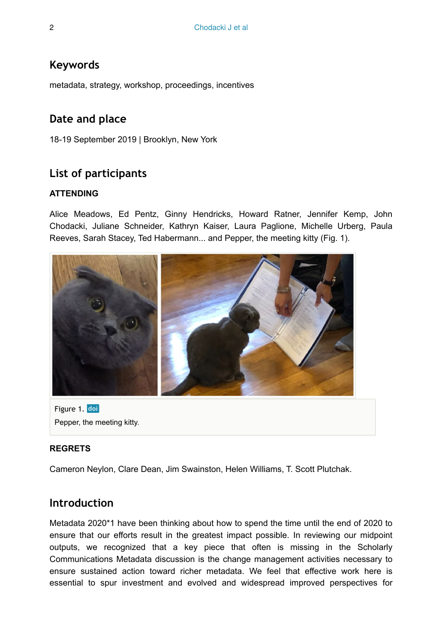### **Keywords**

metadata, strategy, workshop, proceedings, incentives

### **Date and place**

18-19 September 2019 | Brooklyn, New York

## **List of participants**

#### **ATTENDING**

Alice Meadows, Ed Pentz, Ginny Hendricks, Howard Ratner, Jennifer Kemp, John Chodacki, Juliane Schneider, Kathryn Kaiser, Laura Paglione, Michelle Urberg, Paula Reeves, Sarah Stacey, Ted Habermann... and Pepper, the meeting kitty (Fig. 1).



Figure 1. doi Pepper, the meeting kitty.

#### **REGRETS**

Cameron Neylon, Clare Dean, Jim Swainston, Helen Williams, T. Scott Plutchak.

### **Introduction**

Metadata 2020\*1 have been thinking about how to spend the time until the end of 2020 to ensure that our efforts result in the greatest impact possible. In reviewing our midpoint outputs, we recognized that a key piece that often is missing in the Scholarly Communications Metadata discussion is the change management activities necessary to ensure sustained action toward richer metadata. We feel that effective work here is essential to spur investment and evolved and widespread improved perspectives for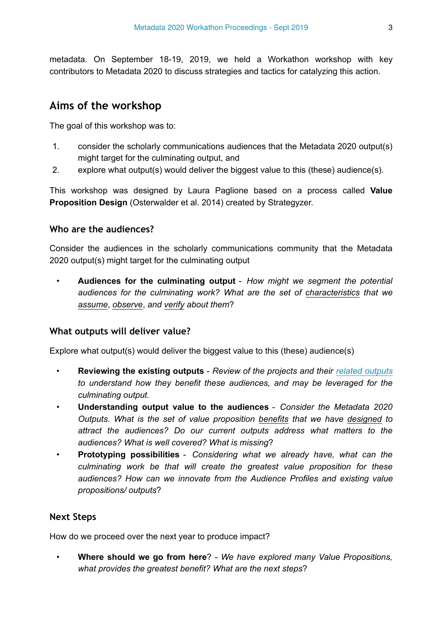metadata. On September 18-19, 2019, we held a Workathon workshop with key contributors to Metadata 2020 to discuss strategies and tactics for catalyzing this action.

### **Aims of the workshop**

The goal of this workshop was to:

- 1. consider the scholarly communications audiences that the Metadata 2020 output(s) might target for the culminating output, and
- 2. explore what output(s) would deliver the biggest value to this (these) audience(s).

This workshop was designed by Laura Paglione based on a process called **Value Proposition Design** (Osterwalder et al. 2014) created by Strategyzer.

#### **Who are the audiences?**

Consider the audiences in the scholarly communications community that the Metadata 2020 output(s) might target for the culminating output

• **Audiences for the culminating output** - *How might we segment the potential audiences for the culminating work? What are the set of characteristics that we assume*, *observe*, *and verify about them*?

#### **What outputs will deliver value?**

Explore what output(s) would deliver the biggest value to this (these) audience(s)

- **Reviewing the existing outputs** *Review of the projects and their [related outputs](http://www.metadata2020.org/resources/) to understand how they benefit these audiences, and may be leveraged for the culminating output.*
- **Understanding output value to the audiences** *Consider the Metadata 2020 Outputs. What is the set of value proposition benefits that we have designed to attract the audiences? Do our current outputs address what matters to the audiences? What is well covered? What is missing*?
- **Prototyping possibilities** *Considering what we already have, what can the culminating work be that will create the greatest value proposition for these audiences? How can we innovate from the Audience Profiles and existing value propositions/ outputs*?

#### **Next Steps**

How do we proceed over the next year to produce impact?

• **Where should we go from here**? - *We have explored many Value Propositions, what provides the greatest benefit? What are the next steps*?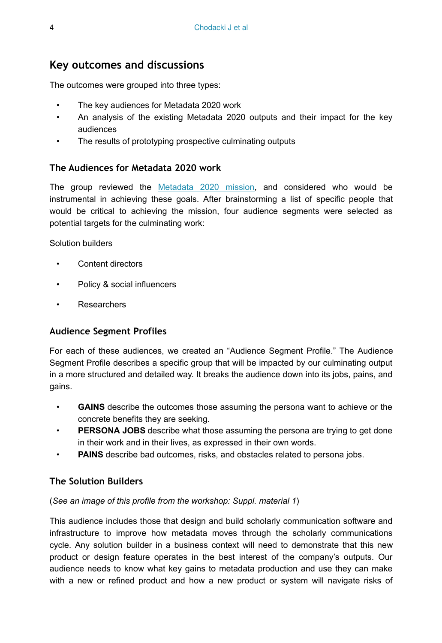### **Key outcomes and discussions**

The outcomes were grouped into three types:

- The key audiences for Metadata 2020 work
- An analysis of the existing Metadata 2020 outputs and their impact for the key audiences
- The results of prototyping prospective culminating outputs

### **The Audiences for Metadata 2020 work**

The group reviewed the [Metadata 2020 mission](https://docs.google.com/document/d/13jC5XiKg8WgPFRT65g_lggU1BwzJlS93nru0m1qq04c/edit#heading=h.g5mjyji6a18r), and considered who would be instrumental in achieving these goals. After brainstorming a list of specific people that would be critical to achieving the mission, four audience segments were selected as potential targets for the culminating work:

Solution builders

- Content directors
- Policy & social influencers
- Researchers

### **Audience Segment Profiles**

For each of these audiences, we created an "Audience Segment Profile." The Audience Segment Profile describes a specific group that will be impacted by our culminating output in a more structured and detailed way. It breaks the audience down into its jobs, pains, and gains.

- **GAINS** describe the outcomes those assuming the persona want to achieve or the concrete benefits they are seeking.
- **PERSONA JOBS** describe what those assuming the persona are trying to get done in their work and in their lives, as expressed in their own words.
- **PAINS** describe bad outcomes, risks, and obstacles related to persona jobs.

### **The Solution Builders**

#### (*See an image of this profile from the workshop: Suppl. material 1*)

This audience includes those that design and build scholarly communication software and infrastructure to improve how metadata moves through the scholarly communications cycle. Any solution builder in a business context will need to demonstrate that this new product or design feature operates in the best interest of the company's outputs. Our audience needs to know what key gains to metadata production and use they can make with a new or refined product and how a new product or system will navigate risks of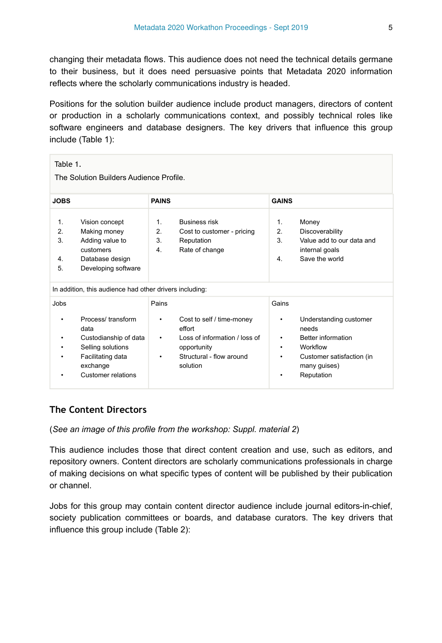changing their metadata flows. This audience does not need the technical details germane to their business, but it does need persuasive points that Metadata 2020 information reflects where the scholarly communications industry is headed.

Positions for the solution builder audience include product managers, directors of content or production in a scholarly communications context, and possibly technical roles like software engineers and database designers. The key drivers that influence this group include (Table 1):

| Table 1.<br>The Solution Builders Audience Profile. |                                                                                                                                |                                              |                                                                                                                             |                                |                                                                                                                              |
|-----------------------------------------------------|--------------------------------------------------------------------------------------------------------------------------------|----------------------------------------------|-----------------------------------------------------------------------------------------------------------------------------|--------------------------------|------------------------------------------------------------------------------------------------------------------------------|
| <b>JOBS</b>                                         |                                                                                                                                | <b>PAINS</b>                                 |                                                                                                                             | <b>GAINS</b>                   |                                                                                                                              |
| 1.<br>2.<br>3.<br>4.<br>5.                          | Vision concept<br>Making money<br>Adding value to<br>customers<br>Database design<br>Developing software                       | $\mathbf{1}$<br>2.<br>3.<br>$\overline{4}$ . | <b>Business risk</b><br>Cost to customer - pricing<br>Reputation<br>Rate of change                                          | 1.<br>2.<br>3.<br>4.           | Money<br>Discoverability<br>Value add to our data and<br>internal goals<br>Save the world                                    |
|                                                     | In addition, this audience had other drivers including:                                                                        |                                              |                                                                                                                             |                                |                                                                                                                              |
| Jobs<br>٠<br>٠<br>٠<br>٠<br>٠                       | Process/transform<br>data<br>Custodianship of data<br>Selling solutions<br>Facilitating data<br>exchange<br>Customer relations | Pains<br>٠<br>٠<br>٠                         | Cost to self / time-money<br>effort<br>Loss of information / loss of<br>opportunity<br>Structural - flow around<br>solution | Gains<br>٠<br>٠<br>٠<br>٠<br>٠ | Understanding customer<br>needs<br>Better information<br>Workflow<br>Customer satisfaction (in<br>many guises)<br>Reputation |

### **The Content Directors**

(*See an image of this profile from the workshop: Suppl. material 2*)

This audience includes those that direct content creation and use, such as editors, and repository owners. Content directors are scholarly communications professionals in charge of making decisions on what specific types of content will be published by their publication or channel.

Jobs for this group may contain content director audience include journal editors-in-chief, society publication committees or boards, and database curators. The key drivers that influence this group include (Table 2):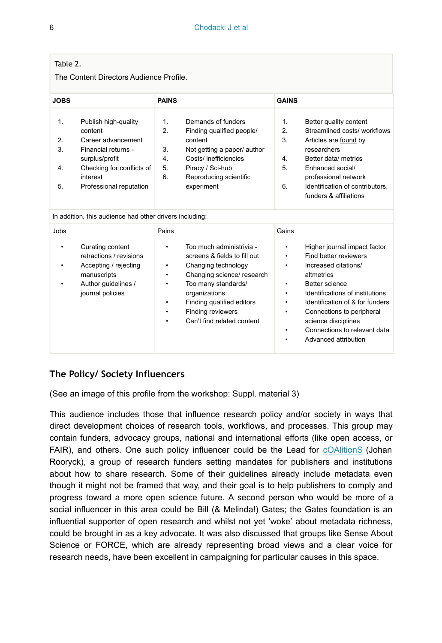| Table |
|-------|
|-------|

The Content Directors Audience Profile.

| <b>JOBS</b>                |                                                                                                                                                                    | <b>PAINS</b>                                 |                                                                                                                                                                                    | <b>GAINS</b>                                 |                                                                                                                                                                                                                                |
|----------------------------|--------------------------------------------------------------------------------------------------------------------------------------------------------------------|----------------------------------------------|------------------------------------------------------------------------------------------------------------------------------------------------------------------------------------|----------------------------------------------|--------------------------------------------------------------------------------------------------------------------------------------------------------------------------------------------------------------------------------|
| 1.<br>2.<br>3.<br>4.<br>5. | Publish high-quality<br>content<br>Career advancement<br>Financial returns -<br>surplus/profit<br>Checking for conflicts of<br>interest<br>Professional reputation | 1 <sub>1</sub><br>2.<br>3.<br>4.<br>5.<br>6. | Demands of funders<br>Finding qualified people/<br>content<br>Not getting a paper/ author<br>Costs/ inefficiencies<br>Piracy / Sci-hub<br>Reproducing scientific<br>experiment     | 1 <sub>1</sub><br>2.<br>3.<br>4.<br>5.<br>6. | Better quality content<br>Streamlined costs/workflows<br>Articles are found by<br>researchers<br>Better data/ metrics<br>Enhanced social/<br>professional network<br>Identification of contributors.<br>funders & affiliations |
|                            | In addition, this audience had other drivers including:                                                                                                            |                                              |                                                                                                                                                                                    |                                              |                                                                                                                                                                                                                                |
| Jobs<br>٠<br>٠<br>٠        | Curating content<br>retractions / revisions<br>Accepting / rejecting<br>manuscripts<br>Author guidelines /<br>journal policies                                     | Pains<br>$\bullet$<br>٠<br>٠<br>٠<br>٠       | Too much administrivia -<br>screens & fields to fill out<br>Changing technology<br>Changing science/ research<br>Too many standards/<br>organizations<br>Finding qualified editors | Gains<br>٠<br>٠<br>٠<br>٠<br>٠<br>٠          | Higher journal impact factor<br>Find better reviewers<br>Increased citations/<br>altmetrics<br>Better science<br>Identifications of institutions<br>Identification of & for funders                                            |

- Finding reviewers
- Can't find related content
- science disciplines Connections to relevant data

Connections to peripheral

• Advanced attribution

#### **The Policy/ Society Influencers**

(See an image of this profile from the workshop: Suppl. material 3)

This audience includes those that influence research policy and/or society in ways that direct development choices of research tools, workflows, and processes. This group may contain funders, advocacy groups, national and international efforts (like open access, or FAIR), and others. One such policy influencer could be the Lead for [cOAlitionS](https://www.coalition-s.org/wp-content/uploads/271118_cOAlitionS_Guidance.pdf) (Johan Rooryck), a group of research funders setting mandates for publishers and institutions about how to share research. Some of their guidelines already include metadata even though it might not be framed that way, and their goal is to help publishers to comply and progress toward a more open science future. A second person who would be more of a social influencer in this area could be Bill (& Melinda!) Gates; the Gates foundation is an influential supporter of open research and whilst not yet 'woke' about metadata richness, could be brought in as a key advocate. It was also discussed that groups like Sense About Science or FORCE, which are already representing broad views and a clear voice for research needs, have been excellent in campaigning for particular causes in this space.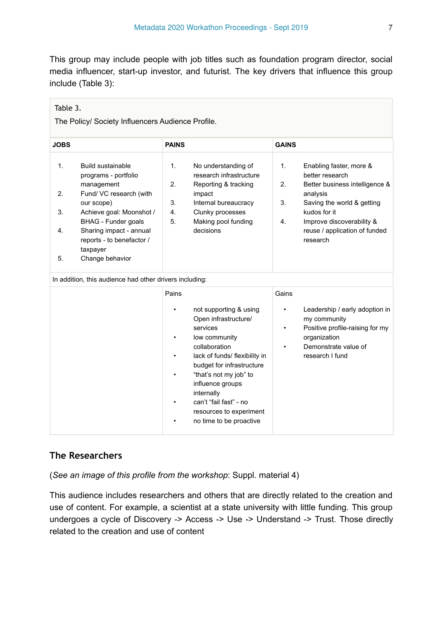This group may include people with job titles such as foundation program director, social media influencer, start-up investor, and futurist. The key drivers that influence this group include (Table 3):

| Table 3.<br>The Policy/ Society Influencers Audience Profile. |                                                                                                                                                                                                                                                   |                            |                                                                                                                                                                                                                                                                                                        |                         |                                                                                                                                                                                                                  |
|---------------------------------------------------------------|---------------------------------------------------------------------------------------------------------------------------------------------------------------------------------------------------------------------------------------------------|----------------------------|--------------------------------------------------------------------------------------------------------------------------------------------------------------------------------------------------------------------------------------------------------------------------------------------------------|-------------------------|------------------------------------------------------------------------------------------------------------------------------------------------------------------------------------------------------------------|
| <b>JOBS</b>                                                   |                                                                                                                                                                                                                                                   | <b>PAINS</b>               |                                                                                                                                                                                                                                                                                                        | <b>GAINS</b>            |                                                                                                                                                                                                                  |
| 1.<br>2.<br>3.<br>4.<br>5.                                    | Build sustainable<br>programs - portfolio<br>management<br>Fund/ VC research (with<br>our scope)<br>Achieve goal: Moonshot /<br><b>BHAG</b> - Funder goals<br>Sharing impact - annual<br>reports - to benefactor /<br>taxpayer<br>Change behavior | 1.<br>2.<br>3.<br>4.<br>5. | No understanding of<br>research infrastructure<br>Reporting & tracking<br>impact<br>Internal bureaucracy<br>Clunky processes<br>Making pool funding<br>decisions                                                                                                                                       | 1.<br>2.<br>3.<br>4.    | Enabling faster, more &<br>better research<br>Better business intelligence &<br>analysis<br>Saving the world & getting<br>kudos for it<br>Improve discoverability &<br>reuse / application of funded<br>research |
|                                                               | In addition, this audience had other drivers including:                                                                                                                                                                                           |                            |                                                                                                                                                                                                                                                                                                        |                         |                                                                                                                                                                                                                  |
|                                                               |                                                                                                                                                                                                                                                   | Pains<br>٠                 | not supporting & using<br>Open infrastructure/<br>services<br>low community<br>collaboration<br>lack of funds/ flexibility in<br>budget for infrastructure<br>"that's not my job" to<br>influence groups<br>internally<br>can't "fail fast" - no<br>resources to experiment<br>no time to be proactive | Gains<br>٠<br>$\bullet$ | Leadership / early adoption in<br>my community<br>Positive profile-raising for my<br>organization<br>Demonstrate value of<br>research I fund                                                                     |

#### **The Researchers**

(*See an image of this profile from the workshop*: Suppl. material 4)

This audience includes researchers and others that are directly related to the creation and use of content. For example, a scientist at a state university with little funding. This group undergoes a cycle of Discovery -> Access -> Use -> Understand -> Trust. Those directly related to the creation and use of content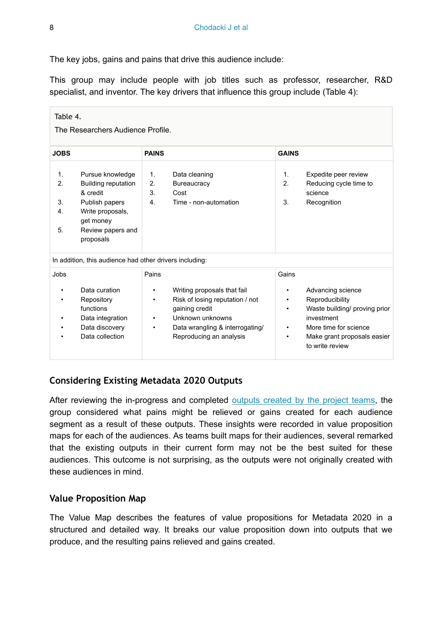The key jobs, gains and pains that drive this audience include:

This group may include people with job titles such as professor, researcher, R&D specialist, and inventor. The key drivers that influence this group include (Table 4):

| Table 4.<br>The Researchers Audience Profile.           |                                                                                                                                                 |                                                                                                                                                                                                         |                                                                                                                                                                                             |  |  |
|---------------------------------------------------------|-------------------------------------------------------------------------------------------------------------------------------------------------|---------------------------------------------------------------------------------------------------------------------------------------------------------------------------------------------------------|---------------------------------------------------------------------------------------------------------------------------------------------------------------------------------------------|--|--|
| <b>JOBS</b>                                             |                                                                                                                                                 | <b>PAINS</b>                                                                                                                                                                                            | <b>GAINS</b>                                                                                                                                                                                |  |  |
| $\mathbf{1}$ .<br>2.<br>3.<br>4.<br>5.                  | Pursue knowledge<br><b>Building reputation</b><br>& credit<br>Publish papers<br>Write proposals,<br>get money<br>Review papers and<br>proposals | 1 <sub>1</sub><br>Data cleaning<br>2.<br>Bureaucracy<br>3.<br>Cost<br>Time - non-automation<br>4.                                                                                                       | Expedite peer review<br>1 <sub>1</sub><br>Reducing cycle time to<br>$\mathcal{P}$<br>science<br>3.<br>Recognition                                                                           |  |  |
| In addition, this audience had other drivers including: |                                                                                                                                                 |                                                                                                                                                                                                         |                                                                                                                                                                                             |  |  |
| Jobs<br>٠<br>٠<br>٠                                     | Data curation<br>Repository<br>functions<br>Data integration<br>Data discovery<br>Data collection                                               | Pains<br>Writing proposals that fail<br>٠<br>Risk of losing reputation / not<br>٠<br>gaining credit<br>Unknown unknowns<br>$\bullet$<br>Data wrangling & interrogating/<br>٠<br>Reproducing an analysis | Gains<br>Advancing science<br>٠<br>Reproducibility<br>٠<br>Waste building/ proving prior<br>investment<br>More time for science<br>٠<br>Make grant proposals easier<br>٠<br>to write review |  |  |

#### **Considering Existing Metadata 2020 Outputs**

After reviewing the in-progress and completed [outputs created by the project teams,](http://www.metadata2020.org/resources/) the group considered what pains might be relieved or gains created for each audience segment as a result of these outputs. These insights were recorded in value proposition maps for each of the audiences. As teams built maps for their audiences, several remarked that the existing outputs in their current form may not be the best suited for these audiences. This outcome is not surprising, as the outputs were not originally created with these audiences in mind.

#### **Value Proposition Map**

The Value Map describes the features of value propositions for Metadata 2020 in a structured and detailed way. It breaks our value proposition down into outputs that we produce, and the resulting pains relieved and gains created.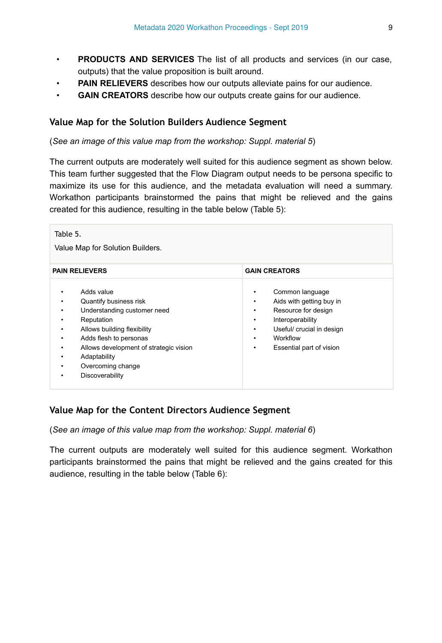- **PRODUCTS AND SERVICES** The list of all products and services (in our case, outputs) that the value proposition is built around.
- **PAIN RELIEVERS** describes how our outputs alleviate pains for our audience.
- **GAIN CREATORS** describe how our outputs create gains for our audience.

#### **Value Map for the Solution Builders Audience Segment**

(*See an image of this value map from the workshop: Suppl. material 5*)

The current outputs are moderately well suited for this audience segment as shown below. This team further suggested that the Flow Diagram output needs to be persona specific to maximize its use for this audience, and the metadata evaluation will need a summary. Workathon participants brainstormed the pains that might be relieved and the gains created for this audience, resulting in the table below (Table 5):

| Table 5.<br>Value Map for Solution Builders.                                                                                                                                                                                                                                                   |                                                                                                                                                                                                |  |  |  |  |
|------------------------------------------------------------------------------------------------------------------------------------------------------------------------------------------------------------------------------------------------------------------------------------------------|------------------------------------------------------------------------------------------------------------------------------------------------------------------------------------------------|--|--|--|--|
| <b>PAIN RELIEVERS</b>                                                                                                                                                                                                                                                                          | <b>GAIN CREATORS</b>                                                                                                                                                                           |  |  |  |  |
| Adds value<br>٠<br>Quantify business risk<br>٠<br>Understanding customer need<br>٠<br>Reputation<br>٠<br>Allows building flexibility<br>٠<br>Adds flesh to personas<br>٠<br>Allows development of strategic vision<br>٠<br>Adaptability<br>٠<br>Overcoming change<br>٠<br>Discoverability<br>٠ | Common language<br>٠<br>Aids with getting buy in<br>٠<br>Resource for design<br>٠<br>Interoperability<br>٠<br>Useful/ crucial in design<br>٠<br>Workflow<br>٠<br>Essential part of vision<br>٠ |  |  |  |  |

#### **Value Map for the Content Directors Audience Segment**

(*See an image of this value map from the workshop: Suppl. material 6*)

The current outputs are moderately well suited for this audience segment. Workathon participants brainstormed the pains that might be relieved and the gains created for this audience, resulting in the table below (Table 6):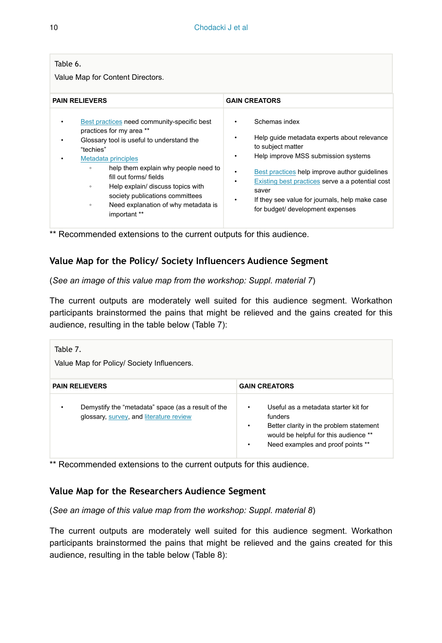| Table 6.<br>Value Map for Content Directors.                                                                                                                                                                                                                                                                                                                                                         |                                                                                                                                                                                                                                                                                                                                                            |  |  |  |  |
|------------------------------------------------------------------------------------------------------------------------------------------------------------------------------------------------------------------------------------------------------------------------------------------------------------------------------------------------------------------------------------------------------|------------------------------------------------------------------------------------------------------------------------------------------------------------------------------------------------------------------------------------------------------------------------------------------------------------------------------------------------------------|--|--|--|--|
| <b>PAIN RELIEVERS</b>                                                                                                                                                                                                                                                                                                                                                                                | <b>GAIN CREATORS</b>                                                                                                                                                                                                                                                                                                                                       |  |  |  |  |
| Best practices need community-specific best<br>٠<br>practices for my area **<br>Glossary tool is useful to understand the<br>٠<br>"techies"<br>Metadata principles<br>help them explain why people need to<br>$\circ$<br>fill out forms/ fields<br>Help explain/ discuss topics with<br>$\circ$<br>society publications committees<br>Need explanation of why metadata is<br>$\circ$<br>important ** | Schemas index<br>٠<br>Help quide metadata experts about relevance<br>٠<br>to subject matter<br>Help improve MSS submission systems<br>٠<br>Best practices help improve author guidelines<br>٠<br>Existing best practices serve a a potential cost<br>٠<br>saver<br>If they see value for journals, help make case<br>٠<br>for budget/ development expenses |  |  |  |  |

\*\* Recommended extensions to the current outputs for this audience.

### **Value Map for the Policy/ Society Influencers Audience Segment**

(*See an image of this value map from the workshop: Suppl. material 7*)

The current outputs are moderately well suited for this audience segment. Workathon participants brainstormed the pains that might be relieved and the gains created for this audience, resulting in the table below (Table 7):

| Table 7.<br>Value Map for Policy/ Society Influencers.                                             |                                                                                                                                                                                                 |  |  |  |
|----------------------------------------------------------------------------------------------------|-------------------------------------------------------------------------------------------------------------------------------------------------------------------------------------------------|--|--|--|
| <b>PAIN RELIEVERS</b>                                                                              | <b>GAIN CREATORS</b>                                                                                                                                                                            |  |  |  |
| Demystify the "metadata" space (as a result of the<br>٠<br>glossary, survey, and literature review | Useful as a metadata starter kit for<br>٠<br>funders<br>Better clarity in the problem statement<br>$\bullet$<br>would be helpful for this audience **<br>Need examples and proof points **<br>٠ |  |  |  |

\*\* Recommended extensions to the current outputs for this audience.

#### **Value Map for the Researchers Audience Segment**

(*See an image of this value map from the workshop: Suppl. material 8*)

The current outputs are moderately well suited for this audience segment. Workathon participants brainstormed the pains that might be relieved and the gains created for this audience, resulting in the table below (Table 8):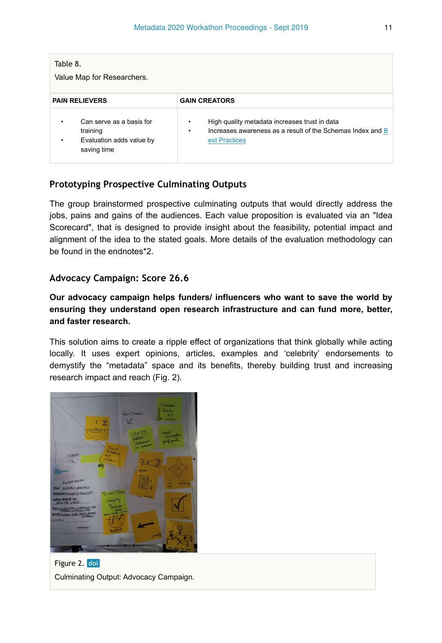| Table 8.<br>Value Map for Researchers.                                                    |                                                                                                                                        |  |  |  |
|-------------------------------------------------------------------------------------------|----------------------------------------------------------------------------------------------------------------------------------------|--|--|--|
| <b>PAIN RELIEVERS</b>                                                                     | <b>GAIN CREATORS</b>                                                                                                                   |  |  |  |
| Can serve as a basis for<br>٠<br>training<br>Evaluation adds value by<br>٠<br>saving time | High quality metadata increases trust in data<br>٠<br>Increases awareness as a result of the Schemas Index and B<br>٠<br>est Practices |  |  |  |

#### **Prototyping Prospective Culminating Outputs**

The group brainstormed prospective culminating outputs that would directly address the jobs, pains and gains of the audiences. Each value proposition is evaluated via an "Idea Scorecard", that is designed to provide insight about the feasibility, potential impact and alignment of the idea to the stated goals. More details of the evaluation methodology can be found in the endnotes\*2.

#### **Advocacy Campaign: Score 26.6**

**Our advocacy campaign helps funders/ influencers who want to save the world by ensuring they understand open research infrastructure and can fund more, better, and faster research.**

This solution aims to create a ripple effect of organizations that think globally while acting locally. It uses expert opinions, articles, examples and 'celebrity' endorsements to demystify the "metadata" space and its benefits, thereby building trust and increasing research impact and reach (Fig. 2).



Figure 2. doi Culminating Output: Advocacy Campaign.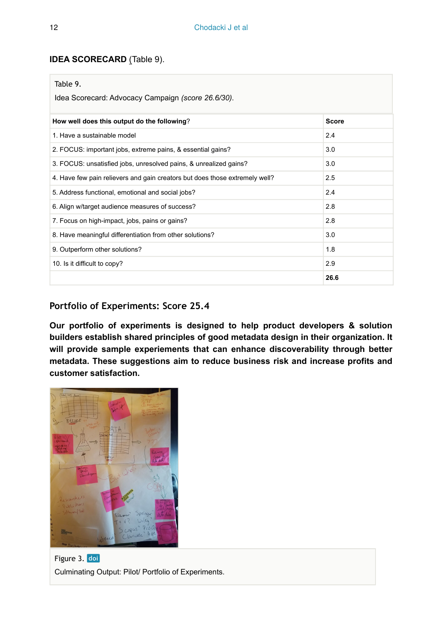#### **IDEA SCORECARD** (Table 9).

| Table 9.<br>Idea Scorecard: Advocacy Campaign (score 26.6/30).              |      |  |  |  |
|-----------------------------------------------------------------------------|------|--|--|--|
| How well does this output do the following?<br>Score                        |      |  |  |  |
| 1. Have a sustainable model                                                 | 2.4  |  |  |  |
| 2. FOCUS: important jobs, extreme pains, & essential gains?                 | 3.0  |  |  |  |
| 3. FOCUS: unsatisfied jobs, unresolved pains, & unrealized gains?           | 3.0  |  |  |  |
| 4. Have few pain relievers and gain creators but does those extremely well? | 2.5  |  |  |  |
| 5. Address functional, emotional and social jobs?                           | 2.4  |  |  |  |
| 6. Align w/target audience measures of success?                             | 2.8  |  |  |  |
| 7. Focus on high-impact, jobs, pains or gains?                              | 2.8  |  |  |  |
| 8. Have meaningful differentiation from other solutions?                    | 3.0  |  |  |  |
| 9. Outperform other solutions?                                              | 1.8  |  |  |  |
| 10. Is it difficult to copy?                                                | 2.9  |  |  |  |
|                                                                             | 26.6 |  |  |  |

### **Portfolio of Experiments: Score 25.4**

**Our portfolio of experiments is designed to help product developers & solution builders establish shared principles of good metadata design in their organization. It will provide sample experiements that can enhance discoverability through better metadata. These suggestions aim to reduce business risk and increase profits and customer satisfaction.**



Figure 3. doi Culminating Output: Pilot/ Portfolio of Experiments.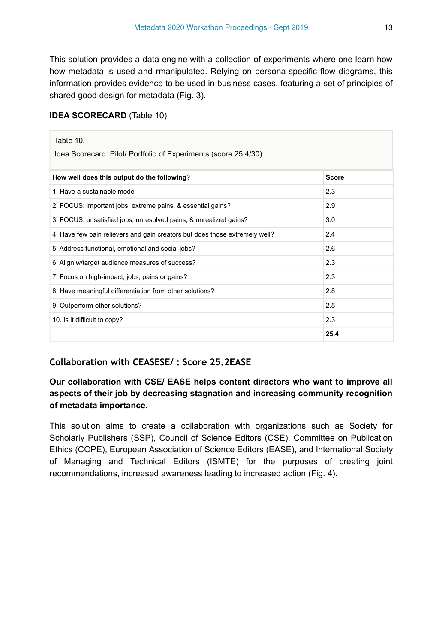This solution provides a data engine with a collection of experiments where one learn how how metadata is used and rmanipulated. Relying on persona-specific flow diagrams, this information provides evidence to be used in business cases, featuring a set of principles of shared good design for metadata (Fig. 3).

#### **IDEA SCORECARD** (Table 10).

| Table 10.<br>Idea Scorecard: Pilot/ Portfolio of Experiments (score 25.4/30). |              |  |  |  |
|-------------------------------------------------------------------------------|--------------|--|--|--|
| How well does this output do the following?                                   | <b>Score</b> |  |  |  |
| 1. Have a sustainable model                                                   | 2.3          |  |  |  |
| 2. FOCUS: important jobs, extreme pains, & essential gains?                   | 2.9          |  |  |  |
| 3. FOCUS: unsatisfied jobs, unresolved pains, & unrealized gains?             | 3.0          |  |  |  |
| 4. Have few pain relievers and gain creators but does those extremely well?   | 2.4          |  |  |  |
| 5. Address functional, emotional and social jobs?                             | 2.6          |  |  |  |
| 6. Align w/target audience measures of success?                               | 2.3          |  |  |  |
| 7. Focus on high-impact, jobs, pains or gains?                                | 2.3          |  |  |  |
| 8. Have meaningful differentiation from other solutions?                      | 2.8          |  |  |  |
| 9. Outperform other solutions?                                                | 2.5          |  |  |  |
| 2.3<br>10. Is it difficult to copy?                                           |              |  |  |  |
|                                                                               | 25.4         |  |  |  |

### **Collaboration with CEASESE/ : Score 25.2EASE**

### **Our collaboration with CSE/ EASE helps content directors who want to improve all aspects of their job by decreasing stagnation and increasing community recognition of metadata importance.**

This solution aims to create a collaboration with organizations such as Society for Scholarly Publishers (SSP), Council of Science Editors (CSE), Committee on Publication Ethics (COPE), European Association of Science Editors (EASE), and International Society of Managing and Technical Editors (ISMTE) for the purposes of creating joint recommendations, increased awareness leading to increased action (Fig. 4).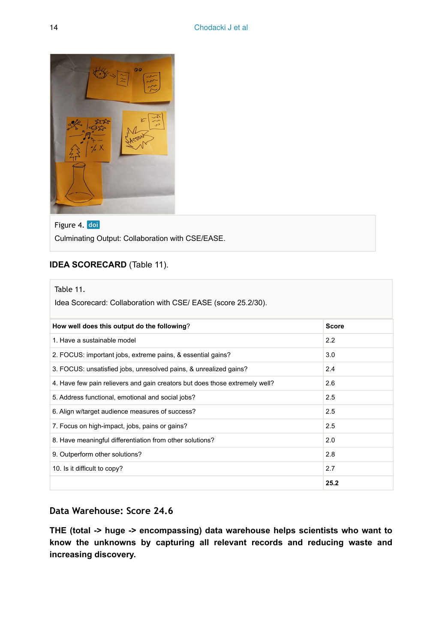

#### Figure 4. doi

Culminating Output: Collaboration with CSE/EASE.

### **IDEA SCORECARD** (Table 11).

| Table 11.<br>Idea Scorecard: Collaboration with CSE/ EASE (score 25.2/30).  |      |  |  |  |
|-----------------------------------------------------------------------------|------|--|--|--|
| How well does this output do the following?<br><b>Score</b>                 |      |  |  |  |
| 1. Have a sustainable model                                                 | 2.2  |  |  |  |
| 2. FOCUS: important jobs, extreme pains, & essential gains?                 | 3.0  |  |  |  |
| 3. FOCUS: unsatisfied jobs, unresolved pains, & unrealized gains?           | 2.4  |  |  |  |
| 4. Have few pain relievers and gain creators but does those extremely well? | 2.6  |  |  |  |
| 5. Address functional, emotional and social jobs?                           | 2.5  |  |  |  |
| 6. Align w/target audience measures of success?                             | 2.5  |  |  |  |
| 7. Focus on high-impact, jobs, pains or gains?                              | 2.5  |  |  |  |
| 8. Have meaningful differentiation from other solutions?                    | 2.0  |  |  |  |
| 9. Outperform other solutions?                                              | 2.8  |  |  |  |
| 10. Is it difficult to copy?                                                | 2.7  |  |  |  |
|                                                                             | 25.2 |  |  |  |

#### **Data Warehouse: Score 24.6**

**THE (total -> huge -> encompassing) data warehouse helps scientists who want to know the unknowns by capturing all relevant records and reducing waste and increasing discovery.**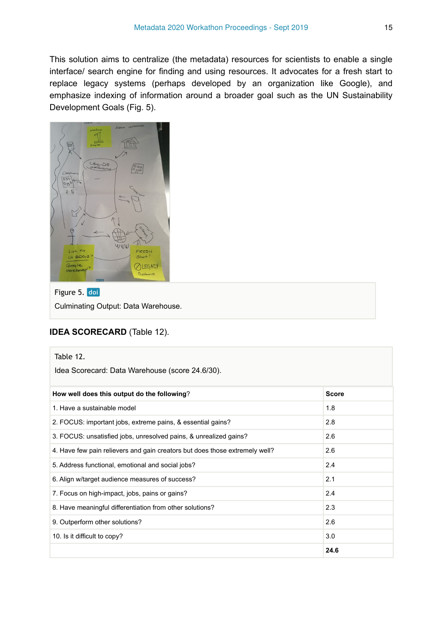This solution aims to centralize (the metadata) resources for scientists to enable a single interface/ search engine for finding and using resources. It advocates for a fresh start to replace legacy systems (perhaps developed by an organization like Google), and emphasize indexing of information around a broader goal such as the UN Sustainability Development Goals (Fig. 5).



#### Figure 5. doi

Culminating Output: Data Warehouse.

#### **IDEA SCORECARD** (Table 12).

| Table 12.<br>Idea Scorecard: Data Warehouse (score 24.6/30).                |              |  |
|-----------------------------------------------------------------------------|--------------|--|
| How well does this output do the following?                                 | <b>Score</b> |  |
| 1. Have a sustainable model                                                 | 1.8          |  |
| 2. FOCUS: important jobs, extreme pains, & essential gains?                 | 2.8          |  |
| 3. FOCUS: unsatisfied jobs, unresolved pains, & unrealized gains?           | 2.6          |  |
| 4. Have few pain relievers and gain creators but does those extremely well? | 2.6          |  |
| 5. Address functional, emotional and social jobs?                           | 2.4          |  |
| 6. Align w/target audience measures of success?                             | 2.1          |  |
| 7. Focus on high-impact, jobs, pains or gains?                              | 2.4          |  |
| 8. Have meaningful differentiation from other solutions?                    | 2.3          |  |
| 9. Outperform other solutions?                                              | 2.6          |  |
| 10. Is it difficult to copy?                                                | 3.0          |  |
|                                                                             | 24.6         |  |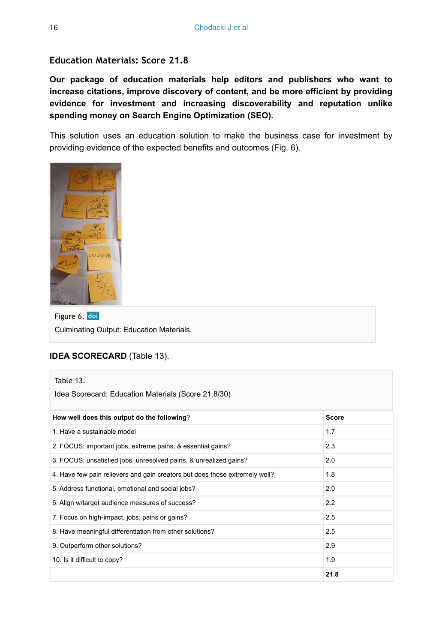#### **Education Materials: Score 21.8**

**Our package of education materials help editors and publishers who want to increase citations, improve discovery of content, and be more efficient by providing evidence for investment and increasing discoverability and reputation unlike spending money on Search Engine Optimization (SEO).**

This solution uses an education solution to make the business case for investment by providing evidence of the expected benefits and outcomes (Fig. 6).



Figure 6. doi Culminating Output: Education Materials.

#### **IDEA SCORECARD** (Table 13).

| Table 13.                                                                   |              |  |
|-----------------------------------------------------------------------------|--------------|--|
| Idea Scorecard: Education Materials (Score 21.8/30)                         |              |  |
| How well does this output do the following?                                 | <b>Score</b> |  |
| 1. Have a sustainable model                                                 | 1.7          |  |
| 2. FOCUS: important jobs, extreme pains, & essential gains?                 | 2.3          |  |
| 3. FOCUS: unsatisfied jobs, unresolved pains, & unrealized gains?           | 2.0          |  |
| 4. Have few pain relievers and gain creators but does those extremely well? | 1.8          |  |
| 5. Address functional, emotional and social jobs?                           | 2.0          |  |
| 6. Align w/target audience measures of success?                             | 2.2          |  |
| 7. Focus on high-impact, jobs, pains or gains?                              | 2.5          |  |
| 8. Have meaningful differentiation from other solutions?                    | 2.5          |  |
| 9. Outperform other solutions?                                              | 2.9          |  |
| 10. Is it difficult to copy?                                                | 1.9          |  |
|                                                                             | 21.8         |  |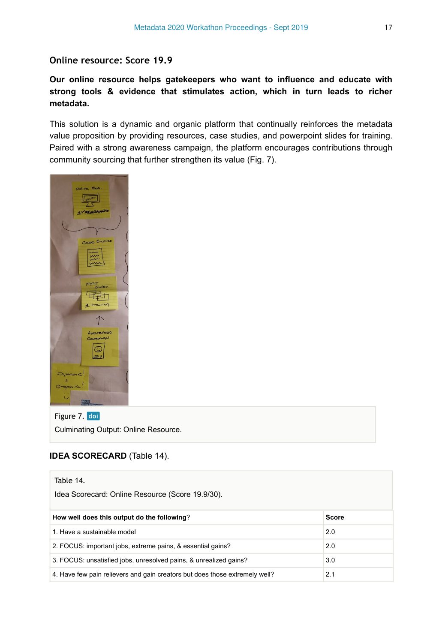#### **Online resource: Score 19.9**

**Our online resource helps gatekeepers who want to influence and educate with strong tools & evidence that stimulates action, which in turn leads to richer metadata.**

This solution is a dynamic and organic platform that continually reinforces the metadata value proposition by providing resources, case studies, and powerpoint slides for training. Paired with a strong awareness campaign, the platform encourages contributions through community sourcing that further strengthen its value (Fig. 7).



Figure 7. doi Culminating Output: Online Resource.

#### **IDEA SCORECARD** (Table 14).

| Table 14.                                                                   |       |  |
|-----------------------------------------------------------------------------|-------|--|
| Idea Scorecard: Online Resource (Score 19.9/30).                            |       |  |
|                                                                             |       |  |
| How well does this output do the following?                                 | Score |  |
| 1. Have a sustainable model                                                 | 2.0   |  |
| 2. FOCUS: important jobs, extreme pains, & essential gains?                 | 2.0   |  |
| 3. FOCUS: unsatisfied jobs, unresolved pains, & unrealized gains?           | 3.0   |  |
| 4. Have few pain relievers and gain creators but does those extremely well? | 2.1   |  |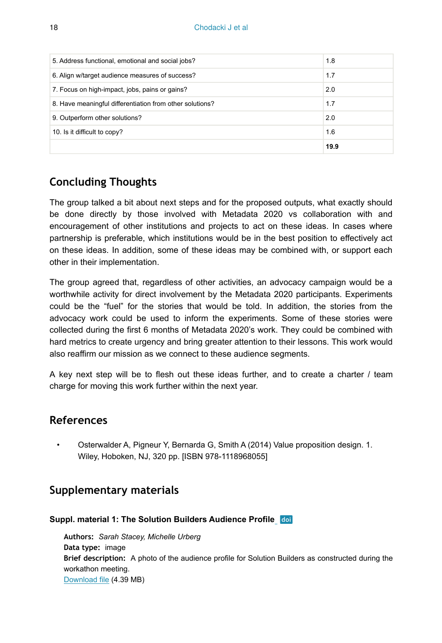| 5. Address functional, emotional and social jobs?        | 1.8  |
|----------------------------------------------------------|------|
| 6. Align w/target audience measures of success?          | 1.7  |
| 7. Focus on high-impact, jobs, pains or gains?           | 2.0  |
| 8. Have meaningful differentiation from other solutions? | 1.7  |
| 9. Outperform other solutions?                           | 2.0  |
| 10. Is it difficult to copy?                             | 1.6  |
|                                                          | 19.9 |

## **Concluding Thoughts**

The group talked a bit about next steps and for the proposed outputs, what exactly should be done directly by those involved with Metadata 2020 vs collaboration with and encouragement of other institutions and projects to act on these ideas. In cases where partnership is preferable, which institutions would be in the best position to effectively act on these ideas. In addition, some of these ideas may be combined with, or support each other in their implementation.

The group agreed that, regardless of other activities, an advocacy campaign would be a worthwhile activity for direct involvement by the Metadata 2020 participants. Experiments could be the "fuel" for the stories that would be told. In addition, the stories from the advocacy work could be used to inform the experiments. Some of these stories were collected during the first 6 months of Metadata 2020's work. They could be combined with hard metrics to create urgency and bring greater attention to their lessons. This work would also reaffirm our mission as we connect to these audience segments.

A key next step will be to flesh out these ideas further, and to create a charter / team charge for moving this work further within the next year.

### **References**

• Osterwalder A, Pigneur Y, Bernarda G, Smith A (2014) Value proposition design. 1. Wiley, Hoboken, NJ, 320 pp. [ISBN 978-1118968055]

## **Supplementary materials**

### **Suppl. material 1: The Solution Builders Audience Profile**

**Authors:** *Sarah Stacey, Michelle Urberg* **Data type:** image **Brief description:** A photo of the audience profile for Solution Builders as constructed during the workathon meeting. [Download file](https://arpha.pensoft.net/getfile.php?filename=oo_371115.jpg) (4.39 MB)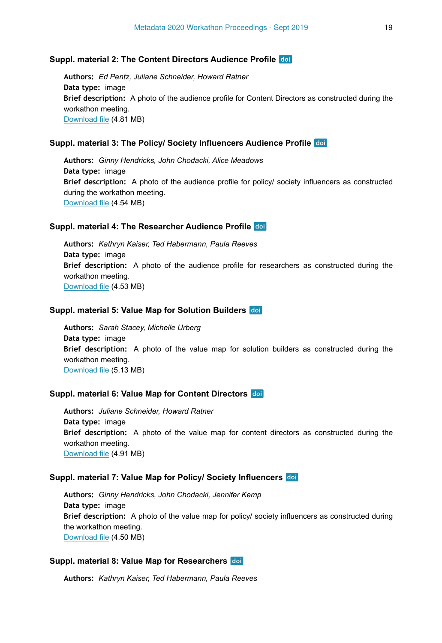#### **Suppl. material 2: The Content Directors Audience Profile**

**Authors:** *Ed Pentz, Juliane Schneider, Howard Ratner* **Data type:** image **Brief description:** A photo of the audience profile for Content Directors as constructed during the workathon meeting. [Download file](https://arpha.pensoft.net/getfile.php?filename=oo_371112.jpg) (4.81 MB)

#### **Suppl. material 3: The Policy/ Society Influencers Audience Profile**

**Authors:** *Ginny Hendricks, John Chodacki, Alice Meadows* **Data type:** image **Brief description:** A photo of the audience profile for policy/ society influencers as constructed during the workathon meeting. [Download file](https://arpha.pensoft.net/getfile.php?filename=oo_372495.jpg) (4.54 MB)

#### **Suppl. material 4: The Researcher Audience Profile**

**Authors:** *Kathryn Kaiser, Ted Habermann, Paula Reeves* **Data type:** image **Brief description:** A photo of the audience profile for researchers as constructed during the workathon meeting. [Download file](https://arpha.pensoft.net/getfile.php?filename=oo_372496.jpg) (4.53 MB)

#### **Suppl. material 5: Value Map for Solution Builders**

**Authors:** *Sarah Stacey, Michelle Urberg* **Data type:** image **Brief description:** A photo of the value map for solution builders as constructed during the workathon meeting. [Download file](https://arpha.pensoft.net/getfile.php?filename=oo_372497.jpg) (5.13 MB)

#### **Suppl. material 6: Value Map for Content Directors**

**Authors:** *Juliane Schneider, Howard Ratner* **Data type:** image **Brief description:** A photo of the value map for content directors as constructed during the workathon meeting. [Download file](https://arpha.pensoft.net/getfile.php?filename=oo_372498.jpg) (4.91 MB)

#### **Suppl. material 7: Value Map for Policy/ Society Influencers**

**Authors:** *Ginny Hendricks, John Chodacki, Jennifer Kemp* **Data type:** image **Brief description:** A photo of the value map for policy/ society influencers as constructed during the workathon meeting. [Download file](https://arpha.pensoft.net/getfile.php?filename=oo_372499.jpg) (4.50 MB)

#### **Suppl. material 8: Value Map for Researchers**

**Authors:** *Kathryn Kaiser, Ted Habermann, Paula Reeves*